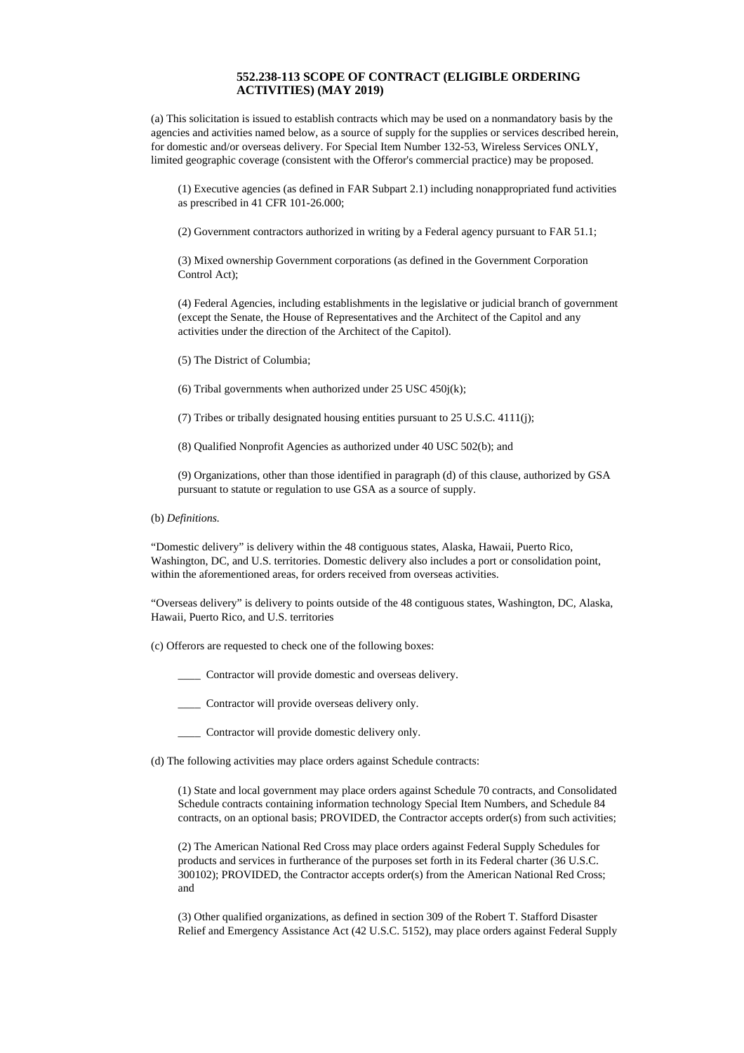## **552.238-113 SCOPE OF CONTRACT (ELIGIBLE ORDERING ACTIVITIES) (MAY 2019)**

(a) This solicitation is issued to establish contracts which may be used on a nonmandatory basis by the agencies and activities named below, as a source of supply for the supplies or services described herein, for domestic and/or overseas delivery. For Special Item Number 132-53, Wireless Services ONLY, limited geographic coverage (consistent with the Offeror's commercial practice) may be proposed.

(1) Executive agencies (as defined in FAR Subpart 2.1) including nonappropriated fund activities as prescribed in 41 CFR 101-26.000;

(2) Government contractors authorized in writing by a Federal agency pursuant to FAR 51.1;

(3) Mixed ownership Government corporations (as defined in the Government Corporation Control Act);

(4) Federal Agencies, including establishments in the legislative or judicial branch of government (except the Senate, the House of Representatives and the Architect of the Capitol and any activities under the direction of the Architect of the Capitol).

(5) The District of Columbia;

(6) Tribal governments when authorized under 25 USC 450j(k);

(7) Tribes or tribally designated housing entities pursuant to 25 U.S.C. 4111(j);

(8) Qualified Nonprofit Agencies as authorized under 40 USC 502(b); and

(9) Organizations, other than those identified in paragraph (d) of this clause, authorized by GSA pursuant to statute or regulation to use GSA as a source of supply.

(b) *Definitions.*

"Domestic delivery" is delivery within the 48 contiguous states, Alaska, Hawaii, Puerto Rico, Washington, DC, and U.S. territories. Domestic delivery also includes a port or consolidation point, within the aforementioned areas, for orders received from overseas activities.

"Overseas delivery" is delivery to points outside of the 48 contiguous states, Washington, DC, Alaska, Hawaii, Puerto Rico, and U.S. territories

(c) Offerors are requested to check one of the following boxes:

\_\_\_\_ Contractor will provide domestic and overseas delivery.

\_\_\_\_ Contractor will provide overseas delivery only.

\_\_\_\_ Contractor will provide domestic delivery only.

(d) The following activities may place orders against Schedule contracts:

(1) State and local government may place orders against Schedule 70 contracts, and Consolidated Schedule contracts containing information technology Special Item Numbers, and Schedule 84 contracts, on an optional basis; PROVIDED, the Contractor accepts order(s) from such activities;

(2) The American National Red Cross may place orders against Federal Supply Schedules for products and services in furtherance of the purposes set forth in its Federal charter (36 U.S.C. 300102); PROVIDED, the Contractor accepts order(s) from the American National Red Cross; and

(3) Other qualified organizations, as defined in section 309 of the Robert T. Stafford Disaster Relief and Emergency Assistance Act (42 U.S.C. 5152), may place orders against Federal Supply